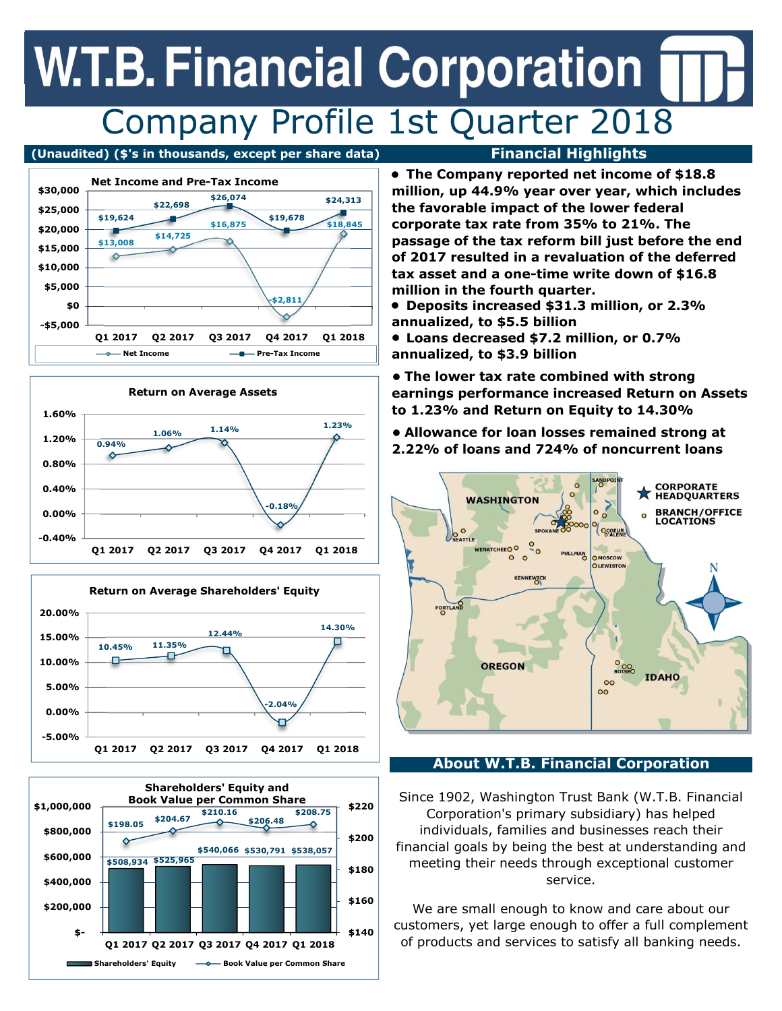## **W.T.B. Financial Corporation** Company Profile 1st Quarter 2018

**(Unaudited) (\$'s in thousands, except per share data) Financial Highlights** 









**The Company reported net income of \$18.8 million, up 44.9% year over year, which includes the favorable impact of the lower federal corporate tax rate from 35% to 21%. The passage of the tax reform bill just before the end of 2017 resulted in a revaluation of the deferred tax asset and a one-time write down of \$16.8 million in the fourth quarter.** 

**Deposits increased \$31.3 million, or 2.3% annualized, to \$5.5 billion** 

**Loans decreased \$7.2 million, or 0.7% annualized, to \$3.9 billion** 

**The lower tax rate combined with strong earnings performance increased Return on Assets to 1.23% and Return on Equity to 14.30%** 

**Allowance for loan losses remained strong at 2.22% of loans and 724% of noncurrent loans** 



### **About W.T.B. Financial Corporation**

Since 1902, Washington Trust Bank (W.T.B. Financial Corporation's primary subsidiary) has helped individuals, families and businesses reach their financial goals by being the best at understanding and meeting their needs through exceptional customer service.

We are small enough to know and care about our customers, yet large enough to offer a full complement of products and services to satisfy all banking needs.